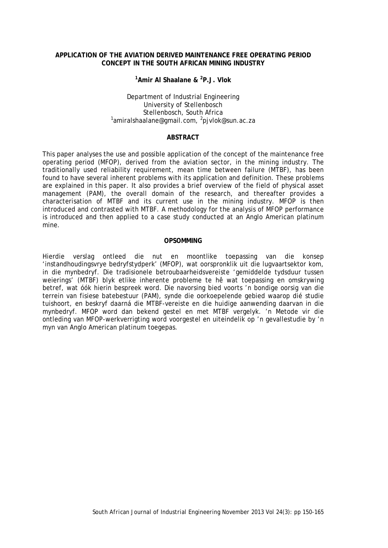### **APPLICATION OF THE AVIATION DERIVED MAINTENANCE FREE OPERATING PERIOD CONCEPT IN THE SOUTH AFRICAN MINING INDUSTRY**

### **1 Amir Al Shaalane & <sup>2</sup> P.J. Vlok**

# Department of Industrial Engineering University of Stellenbosch<br>Stellenbosch, South Africa Stellenbosch, South Africa <sup>1</sup> amiralshaalane@gmail.com, <sup>2</sup> pjvlok@sun.ac.za

#### **ABSTRACT**

This paper analyses the use and possible application of the concept of the maintenance free operating period (MFOP), derived from the aviation sector, in the mining industry. The traditionally used reliability requirement, mean time between failure (MTBF), has been found to have several inherent problems with its application and definition. These problems are explained in this paper. It also provides a brief overview of the field of physical asset management (PAM), the overall domain of the research, and thereafter provides a characterisation of MTBF and its current use in the mining industry. MFOP is then introduced and contrasted with MTBF. A methodology for the analysis of MFOP performance is introduced and then applied to a case study conducted at an Anglo American platinum mine.

#### **OPSOMMING**

Hierdie verslag ontleed die nut en moontlike toepassing van die konsep 'instandhoudingsvrye bedryfstydperk' (MFOP), wat oorspronklik uit die lugvaartsektor kom, in die mynbedryf. Die tradisionele betroubaarheidsvereiste 'gemiddelde tydsduur tussen weierings' (MTBF) blyk etlike inherente probleme te hê wat toepassing en omskrywing betref, wat óók hierin bespreek word. Die navorsing bied voorts 'n bondige oorsig van die terrein van fisiese batebestuur (PAM), synde die oorkoepelende gebied waarop dié studie tuishoort, en beskryf daarná die MTBF-vereiste en die huidige aanwending daarvan in die mynbedryf. MFOP word dan bekend gestel en met MTBF vergelyk. 'n Metode vir die ontleding van MFOP-werkverrigting word voorgestel en uiteindelik op 'n gevallestudie by 'n myn van Anglo American platinum toegepas.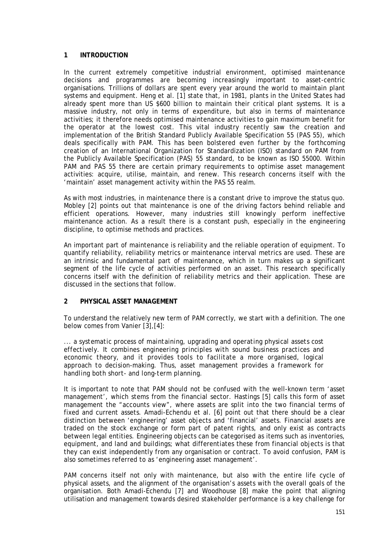### **1 INTRODUCTION**

In the current extremely competitive industrial environment, optimised maintenance decisions and programmes are becoming increasingly important to asset-centric organisations. Trillions of dollars are spent every year around the world to maintain plant systems and equipment. Heng et al. [1] state that, in 1981, plants in the United States had already spent more than US \$600 billion to maintain their critical plant systems. It is a massive industry, not only in terms of expenditure, but also in terms of maintenance activities; it therefore needs optimised maintenance activities to gain maximum benefit for the operator at the lowest cost. This vital industry recently saw the creation and implementation of the British Standard Publicly Available Specification 55 (PAS 55), which deals specifically with PAM. This has been bolstered even further by the forthcoming creation of an International Organization for Standardization (ISO) standard on PAM from the Publicly Available Specification (PAS) 55 standard, to be known as ISO 55000. Within PAM and PAS 55 there are certain primary requirements to optimise asset management activities: acquire, utilise, maintain, and renew. This research concerns itself with the 'maintain' asset management activity within the PAS 55 realm.

As with most industries, in maintenance there is a constant drive to improve the status quo. Mobley [2] points out that maintenance is one of the driving factors behind reliable and efficient operations. However, many industries still knowingly perform ineffective maintenance action. As a result there is a constant push, especially in the engineering discipline, to optimise methods and practices.

An important part of maintenance is reliability and the reliable operation of equipment. To quantify reliability, reliability metrics or maintenance interval metrics are used. These are an intrinsic and fundamental part of maintenance, which in turn makes up a significant segment of the life cycle of activities performed on an asset. This research specifically concerns itself with the definition of reliability metrics and their application. These are discussed in the sections that follow.

### **2 PHYSICAL ASSET MANAGEMENT**

To understand the relatively new term of PAM correctly, we start with a definition. The one below comes from Vanier [3],[4]:

*... a systematic process of maintaining, upgrading and operating physical assets cost effectively. It combines engineering principles with sound business practices and economic theory, and it provides tools to facilitate a more organised, logical approach to decision-making. Thus, asset management provides a framework for handling both short- and long-term planning.*

It is important to note that PAM should not be confused with the well-known term 'asset management', which stems from the financial sector. Hastings [5] calls this form of asset management the "accounts view*"*, where assets are split into the two financial terms of fixed and current assets. Amadi-Echendu et al. [6] point out that there should be a clear distinction between 'engineering' asset objects and 'financial' assets. Financial assets are traded on the stock exchange or form part of patent rights, and only exist as contracts between legal entities. Engineering objects can be categorised as items such as inventories, equipment, and land and buildings; what differentiates these from financial objects is that they can exist independently from any organisation or contract. To avoid confusion, PAM is also sometimes referred to as 'engineering asset management'.

PAM concerns itself not only with maintenance, but also with the entire life cycle of physical assets, and the alignment of the organisation's assets with the overall goals of the organisation. Both Amadi-Echendu [7] and Woodhouse [8] make the point that aligning utilisation and management towards desired stakeholder performance is a key challenge for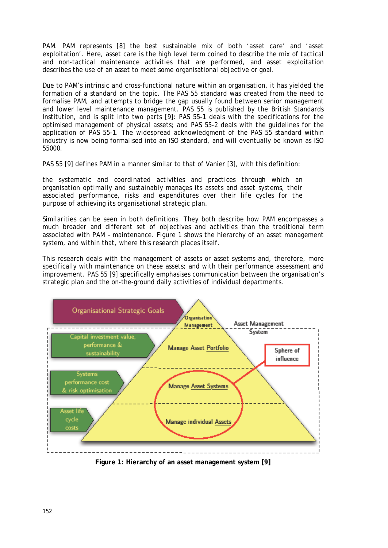PAM. PAM represents [8] the best sustainable mix of both 'asset care' and 'asset exploitation'. Here, asset care is the high level term coined to describe the mix of tactical and non-tactical maintenance activities that are performed, and asset exploitation describes the use of an asset to meet some organisational objective or goal.

Due to PAM's intrinsic and cross-functional nature within an organisation, it has yielded the formation of a standard on the topic. The PAS 55 standard was created from the need to formalise PAM, and attempts to bridge the gap usually found between senior management and lower level maintenance management. PAS 55 is published by the British Standards Institution, and is split into two parts [9]: PAS 55-1 deals with the specifications for the optimised management of physical assets; and PAS 55-2 deals with the guidelines for the application of PAS 55-1. The widespread acknowledgment of the PAS 55 standard within industry is now being formalised into an ISO standard, and will eventually be known as ISO 55000.

PAS 55 [9] defines PAM in a manner similar to that of Vanier [3], with this definition:

*the systematic and coordinated activities and practices through which an organisation optimally and sustainably manages its assets and asset systems, their associated performance, risks and expenditures over their life cycles for the purpose of achieving its organisational strategic plan.*

Similarities can be seen in both definitions. They both describe how PAM encompasses a much broader and different set of objectives and activities than the traditional term associated with PAM – maintenance. [Figure 1](#page-2-0) shows the hierarchy of an asset management system, and within that, where this research places itself.

This research deals with the management of assets or asset systems and, therefore, more specifically with maintenance on these assets; and with their performance assessment and improvement. PAS 55 [9] specifically emphasises communication between the organisation's strategic plan and the on-the-ground daily activities of individual departments.



<span id="page-2-0"></span>**Figure 1: Hierarchy of an asset management system [9]**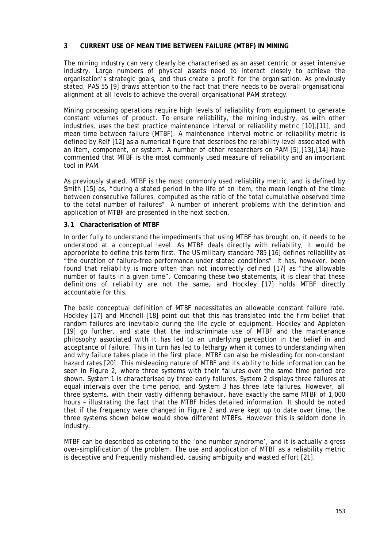### **3 CURRENT USE OF MEAN TIME BETWEEN FAILURE (MTBF) IN MINING**

The mining industry can very clearly be characterised as an asset centric or asset intensive industry. Large numbers of physical assets need to interact closely to achieve the organisation's strategic goals, and thus create a profit for the organisation. As previously stated, PAS 55 [9] draws attention to the fact that there needs to be overall organisational alignment at all levels to achieve the overall organisational PAM strategy.

Mining processing operations require high levels of reliability from equipment to generate constant volumes of product. To ensure reliability, the mining industry, as with other industries, uses the best practice maintenance interval or reliability metric [10],[11], and mean time between failure (MTBF). A maintenance interval metric or reliability metric is defined by Relf [12] as a numerical figure that describes the reliability level associated with an item, component, or system. A number of other researchers on PAM [5],[13],[14] have commented that MTBF is the most commonly used measure of reliability and an important tool in PAM.

As previously stated, MTBF is the most commonly used reliability metric, and is defined by Smith [15] as, "during a stated period in the life of an item, the mean length of the time between consecutive failures, computed as the ratio of the total cumulative observed time to the total number of failures". A number of inherent problems with the definition and application of MTBF are presented in the next section.

### **3.1 Characterisation of MTBF**

In order fully to understand the impediments that using MTBF has brought on, it needs to be understood at a conceptual level. As MTBF deals directly with reliability, it would be appropriate to define this term first. The US military standard 785 [16] defines reliability as "the duration of failure-free performance under stated conditions". It has, however, been found that reliability is more often than not incorrectly defined [17] as "the allowable number of faults in a given time". Comparing these two statements, it is clear that these definitions of reliability are not the same, and Hockley [17] holds MTBF directly accountable for this.

The basic conceptual definition of MTBF necessitates an allowable constant failure rate. Hockley [17] and Mitchell [18] point out that this has translated into the firm belief that random failures are inevitable during the life cycle of equipment. Hockley and Appleton [19] go further, and state that the indiscriminate use of MTBF and the maintenance philosophy associated with it has led to an underlying perception in the belief in and acceptance of failure. This in turn has led to lethargy when it comes to understanding when and why failure takes place in the first place. MTBF can also be misleading for non-constant hazard rates [20]. This misleading nature of MTBF and its ability to hide information can be seen in [Figure 2,](#page-4-0) where three systems with their failures over the same time period are shown. System 1 is characterised by three early failures, System 2 displays three failures at equal intervals over the time period, and System 3 has three late failures. However, all three systems, with their vastly differing behaviour, have exactly the same MTBF of 1,000 hours – illustrating the fact that the MTBF hides detailed information. It should be noted that if the frequency were changed in [Figure 2](#page-4-0) and were kept up to date over time, the three systems shown below would show different MTBFs. However this is seldom done in industry.

MTBF can be described as catering to the 'one number syndrome'*,* and it is actually a gross over-simplification of the problem. The use and application of MTBF as a reliability metric is deceptive and frequently mishandled, causing ambiguity and wasted effort [21].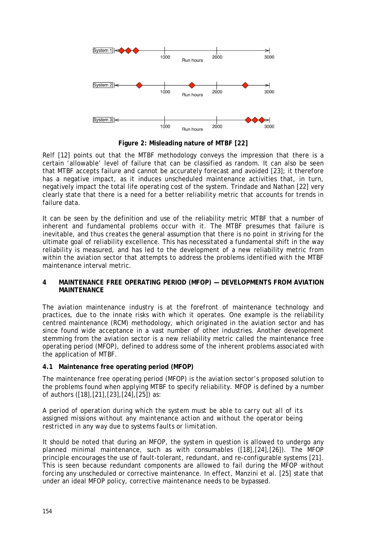

**Figure 2: Misleading nature of MTBF [22]**

<span id="page-4-0"></span>Relf [12] points out that the MTBF methodology conveys the impression that there is a certain 'allowable' level of failure that can be classified as random. It can also be seen that MTBF accepts failure and cannot be accurately forecast and avoided [23]; it therefore has a negative impact, as it induces unscheduled maintenance activities that, in turn, negatively impact the total life operating cost of the system. Trindade and Nathan [22] very clearly state that there is a need for a better reliability metric that accounts for trends in failure data.

It can be seen by the definition and use of the reliability metric MTBF that a number of inherent and fundamental problems occur with it. The MTBF presumes that failure is inevitable, and thus creates the general assumption that there is no point in striving for the ultimate goal of reliability excellence. This has necessitated a fundamental shift in the way reliability is measured, and has led to the development of a new reliability metric from within the aviation sector that attempts to address the problems identified with the MTBF maintenance interval metric.

### **4 MAINTENANCE FREE OPERATING PERIOD (MFOP) — DEVELOPMENTS FROM AVIATION MAINTENANCE**

The aviation maintenance industry is at the forefront of maintenance technology and practices, due to the innate risks with which it operates. One example is the reliability centred maintenance (RCM) methodology, which originated in the aviation sector and has since found wide acceptance in a vast number of other industries. Another development stemming from the aviation sector is a new reliability metric called the maintenance free operating period (MFOP), defined to address some of the inherent problems associated with the application of MTBF.

## **4.1 Maintenance free operating period (MFOP)**

The maintenance free operating period (MFOP) is the aviation sector's proposed solution to the problems found when applying MTBF to specify reliability. MFOP is defined by a number of authors ([18],[21],[23],[24],[25]) as:

*A period of operation during which the system must be able to carry out all of its assigned missions without any maintenance action and without the operator being restricted in any way due to systems faults or limitation.*

It should be noted that during an MFOP, the system in question is allowed to undergo any planned minimal maintenance, such as with consumables ([18],[24],[26]). The MFOP principle encourages the use of fault-tolerant, redundant, and re-configurable systems [21]. This is seen because redundant components are allowed to fail during the MFOP without forcing any unscheduled or corrective maintenance. In effect, Manzini et al. [25] state that under an ideal MFOP policy, corrective maintenance needs to be bypassed.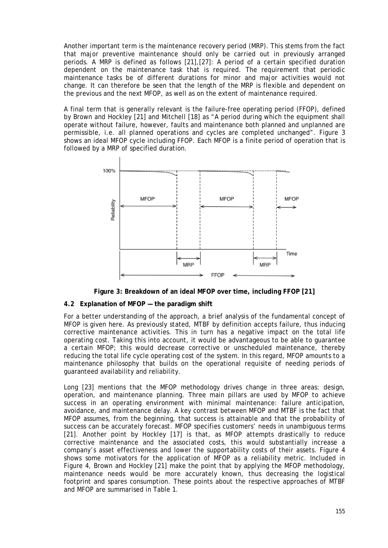Another important term is the maintenance recovery period (MRP). This stems from the fact that major preventive maintenance should only be carried out in previously arranged periods. A MRP is defined as follows [21],[27]: A period of a certain specified duration dependent on the maintenance task that is required. The requirement that periodic maintenance tasks be of different durations for minor and major activities would not change. It can therefore be seen that the length of the MRP is flexible and dependent on the previous and the next MFOP, as well as on the extent of maintenance required.

A final term that is generally relevant is the failure-free operating period (FFOP), defined by Brown and Hockley [21] and Mitchell [18] as "A period during which the equipment shall operate without failure, however, faults and maintenance both planned and unplanned are permissible, i.e. all planned operations and cycles are completed unchanged". [Figure 3](#page-5-0) shows an ideal MFOP cycle including FFOP. Each MFOP is a finite period of operation that is followed by a MRP of specified duration.



**Figure 3: Breakdown of an ideal MFOP over time, including FFOP [21]**

### <span id="page-5-0"></span>**4.2 Explanation of MFOP — the paradigm shift**

For a better understanding of the approach, a brief analysis of the fundamental concept of MFOP is given here. As previously stated, MTBF by definition accepts failure, thus inducing corrective maintenance activities. This in turn has a negative impact on the total life operating cost. Taking this into account, it would be advantageous to be able to guarantee a certain MFOP; this would decrease corrective or unscheduled maintenance, thereby reducing the total life cycle operating cost of the system. In this regard, MFOP amounts to a maintenance philosophy that builds on the operational requisite of needing periods of guaranteed availability and reliability.

Long [23] mentions that the MFOP methodology drives change in three areas: design, operation, and maintenance planning. Three main pillars are used by MFOP to achieve success in an operating environment with minimal maintenance: failure anticipation, avoidance, and maintenance delay. A key contrast between MFOP and MTBF is the fact that MFOP assumes, from the beginning, that success is attainable and that the probability of success can be accurately forecast. MFOP specifies customers' needs in unambiguous terms [21]. Another point by Hockley [17] is that, as MFOP attempts drastically to reduce corrective maintenance and the associated costs, this would substantially increase a company's asset effectiveness and lower the supportability costs of their assets. [Figure 4](#page-6-0) shows some motivators for the application of MFOP as a reliability metric. Included in [Figure 4,](#page-6-0) Brown and Hockley [21] make the point that by applying the MFOP methodology, maintenance needs would be more accurately known, thus decreasing the logistical footprint and spares consumption. These points about the respective approaches of MTBF and MFOP are summarised in [Table 1.](#page-6-1)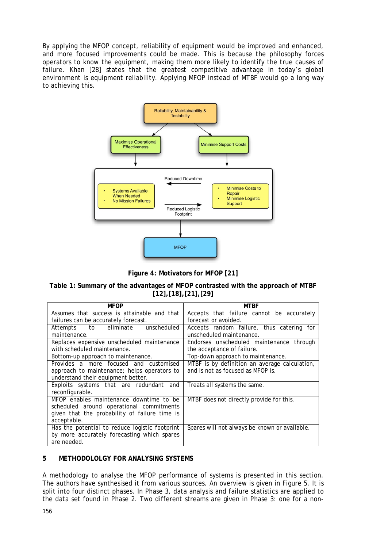By applying the MFOP concept, reliability of equipment would be improved and enhanced, and more focused improvements could be made. This is because the philosophy forces operators to know the equipment, making them more likely to identify the true causes of failure. Khan [28] states that the greatest competitive advantage in today's global environment is equipment reliability. Applying MFOP instead of MTBF would go a long way to achieving this.



**Figure 4: Motivators for MFOP [21]**

## <span id="page-6-1"></span><span id="page-6-0"></span>**Table 1: Summary of the advantages of MFOP contrasted with the approach of MTBF [12],[18],[21],[29]**

| <b>MFOP</b>                                    | MTBF                                          |  |
|------------------------------------------------|-----------------------------------------------|--|
| Assumes that success is attainable and that    | Accepts that failure cannot be accurately     |  |
| failures can be accurately forecast.           | forecast or avoided.                          |  |
| Attempts to eliminate<br>unscheduled           | Accepts random failure, thus catering for     |  |
| maintenance.                                   | unscheduled maintenance.                      |  |
| Replaces expensive unscheduled maintenance     | Endorses unscheduled maintenance through      |  |
| with scheduled maintenance.                    | the acceptance of failure.                    |  |
| Bottom-up approach to maintenance.             | Top-down approach to maintenance.             |  |
| Provides a more focused and customised         | MTBF is by definition an average calculation, |  |
| approach to maintenance; helps operators to    | and is not as focused as MFOP is.             |  |
| understand their equipment better.             |                                               |  |
| Exploits systems that are redundant and        | Treats all systems the same.                  |  |
| reconfigurable.                                |                                               |  |
| MFOP enables maintenance downtime to be        | MTBF does not directly provide for this.      |  |
| scheduled around operational commitments       |                                               |  |
| given that the probability of failure time is  |                                               |  |
| acceptable.                                    |                                               |  |
| Has the potential to reduce logistic footprint | Spares will not always be known or available. |  |
| by more accurately forecasting which spares    |                                               |  |
| are needed.                                    |                                               |  |

## **5 METHODOLOLGY FOR ANALYSING SYSTEMS**

A methodology to analyse the MFOP performance of systems is presented in this section. The authors have synthesised it from various sources. An overview is given in [Figure 5.](#page-7-0) It is split into four distinct phases. In Phase 3, data analysis and failure statistics are applied to the data set found in Phase 2. Two different streams are given in Phase 3: one for a non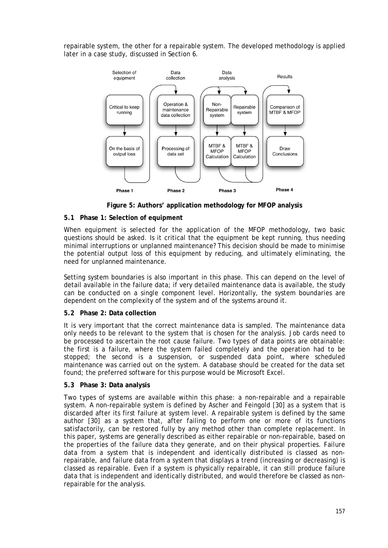repairable system, the other for a repairable system. The developed methodology is applied later in a case study, discussed in Section 6.



**Figure 5: Authors' application methodology for MFOP analysis**

## <span id="page-7-0"></span>**5.1 Phase 1: Selection of equipment**

When equipment is selected for the application of the MFOP methodology, two basic questions should be asked. Is it critical that the equipment be kept running, thus needing minimal interruptions or unplanned maintenance? This decision should be made to minimise the potential output loss of this equipment by reducing, and ultimately eliminating, the need for unplanned maintenance.

Setting system boundaries is also important in this phase. This can depend on the level of detail available in the failure data; if very detailed maintenance data is available, the study can be conducted on a single component level. Horizontally, the system boundaries are dependent on the complexity of the system and of the systems around it.

# **5.2 Phase 2: Data collection**

It is very important that the correct maintenance data is sampled. The maintenance data only needs to be relevant to the system that is chosen for the analysis. Job cards need to be processed to ascertain the root cause failure. Two types of data points are obtainable: the first is a failure, where the system failed completely and the operation had to be stopped; the second is a suspension, or suspended data point, where scheduled maintenance was carried out on the system. A database should be created for the data set found; the preferred software for this purpose would be Microsoft Excel.

### **5.3 Phase 3: Data analysis**

Two types of systems are available within this phase: a non-repairable and a repairable system. A non-repairable system is defined by Ascher and Feingold [30] as a system that is discarded after its first failure at system level. A repairable system is defined by the same author [30] as a system that, after failing to perform one or more of its functions satisfactorily, can be restored fully by any method other than complete replacement. In this paper, systems are generally described as either repairable or non-repairable, based on the properties of the failure data they generate, and on their physical properties. Failure data from a system that is independent and identically distributed is classed as nonrepairable, and failure data from a system that displays a trend (increasing or decreasing) is classed as repairable. Even if a system is physically repairable, it can still produce failure data that is independent and identically distributed, and would therefore be classed as nonrepairable for the analysis.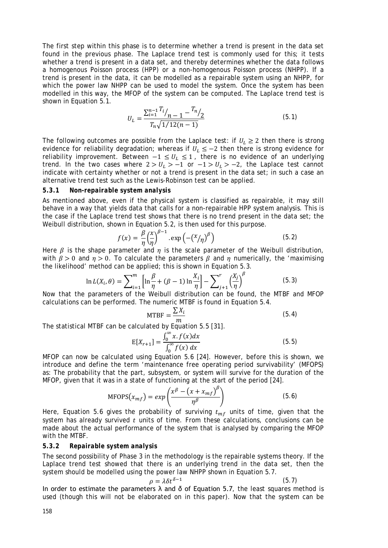The first step within this phase is to determine whether a trend is present in the data set found in the previous phase. The Laplace trend test is commonly used for this; it tests whether a trend is present in a data set, and thereby determines whether the data follows a homogenous Poisson process (HPP) or a non-homogenous Poisson process (NHPP). If a trend is present in the data, it can be modelled as a repairable system using an NHPP, for which the power law NHPP can be used to model the system. Once the system has been modelled in this way, the MFOP of the system can be computed. The Laplace trend test is shown in Equation 5.1.

$$
U_L = \frac{\sum_{i=1}^{n-1} \frac{T_i}{n} - \frac{T_n}{2}}{T_n \sqrt{1/12(n-1)}}\tag{5.1}
$$

The following outcomes are possible from the Laplace test: if  $U_1 \geq 2$  then there is strong evidence for reliability degradation; whereas if  $U_L \le -2$  then there is strong evidence for reliability improvement. Between  $-1 \le U_L \le 1$ , there is no evidence of an underlying trend. In the two cases where  $2 > U_L > -1$  or  $-1 > U_L > -2$ , the Laplace test cannot indicate with certainty whether or not a trend is present in the data set; in such a case an alternative trend test such as the Lewis-Robinson test can be applied.

#### *5.3.1 Non-repairable system analysis*

As mentioned above, even if the physical system is classified as repairable, it may still behave in a way that yields data that calls for a non-repairable HPP system analysis. This is the case if the Laplace trend test shows that there is no trend present in the data set; the Weibull distribution, shown in Equation 5.2, is then used for this purpose.

$$
f(x) = \frac{\beta}{\eta} \left(\frac{x}{\eta}\right)^{\beta - 1} \cdot \exp\left(-\left(\frac{x}{\eta}\right)^{\beta}\right)
$$
 (5.2)

Here  $\beta$  is the shape parameter and  $\eta$  is the scale parameter of the Weibull distribution, with  $\beta > 0$  and  $\eta > 0$ . To calculate the parameters  $\beta$  and  $\eta$  numerically, the 'maximising the likelihood' method can be applied; this is shown in Equation 5.3.

$$
\ln L(X_i, \theta) = \sum_{i=1}^{m} \left[ \ln \frac{\beta}{\eta} + (\beta - 1) \ln \frac{X_i}{\eta} \right] - \sum_{j+1}^{r} \left( \frac{X_j}{\eta} \right)^{\beta} \tag{5.3}
$$

 $\sum_{i=1}^n$   $\sum_{i=1}^n$   $\sum_{j+1}$   $\sum_{j+1}$   $\sum_{j}$ calculations can be performed. The numeric MTBF is found in Equation 5.4.

$$
MTBF = \frac{\sum X_i}{m}
$$
 (5.4)

The statistical MTBF can be calculated by Equation 5.5 [31].

$$
E[X_{r+1}] = \frac{\int_0^\infty x \cdot f(x) dx}{\int_0^\infty f(x) dx}
$$
 (5.5)

 $\int_0^\infty f(x) dx$ <br>MFOP can now be calculated using Equation 5.6 [24]. However, before this is shown, we introduce and define the term 'maintenance free operating period survivability' (MFOPS) as: The probability that the part, subsystem, or system will survive for the duration of the MFOP, given that it was in a state of functioning at the start of the period [24].

$$
MFOPS(x_{mf}) = exp\left(\frac{x^{\beta} - (x + x_{mf})^{\beta}}{\eta^{\beta}}\right)
$$
\n(5.6)

Here, Equation 5.6 gives the probability of surviving  $t_{mf}$  units of time, given that the system has already survived  $t$  units of time. From these calculations, conclusions can be made about the actual performance of the system that is analysed by comparing the MFOP with the MTBF.

#### *5.3.2 Repairable system analysis*

The second possibility of Phase 3 in the methodology is the repairable systems theory. If the Laplace trend test showed that there is an underlying trend in the data set, then the system should be modelled using the power law NHPP shown in Equation 5.7.

$$
\rho = \lambda \delta t^{\delta - 1}
$$
 (5.7)  
meters  $\lambda$  and  $\delta$  of Equation 5.7 the least squares method

In order to estimate the parameters  $\lambda$  and  $\delta$  of Equation 5.7, the least squares method is used (though this will not be elaborated on in this paper). Now that the system can be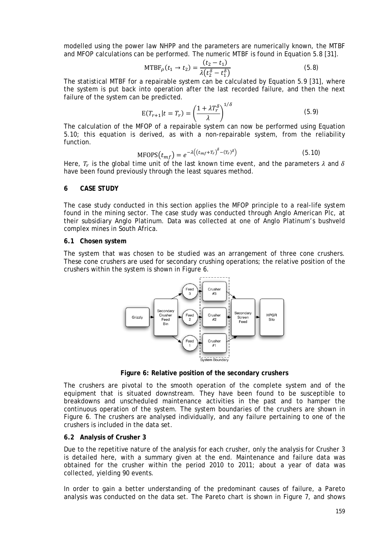modelled using the power law NHPP and the parameters are numerically known, the MTBF and MFOP calculations can be performed. The numeric MTBF is found in Equation 5.8 [31].

MTBF<sub>$$
\rho
$$</sub>(t<sub>1</sub>  $\rightarrow$  t<sub>2</sub>) =  $\frac{(t_2 - t_1)}{\lambda(t_2^{\delta} - t_1^{\delta})}$  (5.8)

The statistical MTBF for a repairable system can be calculated by Equation 5.9 [31], where the system is put back into operation after the last recorded failure, and then the next failure of the system can be predicted.

$$
E(T_{r+1}|t = T_r) = \left(\frac{1 + \lambda T_r^{\delta}}{\lambda}\right)^{1/\delta}
$$
\n(5.9)

The calculation of the MFOP of a repairable system can now be performed using Equation 5.10; this equation is derived, as with a non-repairable system, from the reliability function.

$$
MFOPS(t_{mf}) = e^{-\lambda((t_{mf} + T_r)^{\delta} - (T_r)^{\delta})}
$$
\n(5.10)

Here,  $T_r$  is the global time unit of the last known time event, and the parameters  $\lambda$  and  $\delta$ have been found previously through the least squares method.

#### **6 CASE STUDY**

The case study conducted in this section applies the MFOP principle to a real-life system found in the mining sector. The case study was conducted through Anglo American Plc, at their subsidiary Anglo Platinum. Data was collected at one of Anglo Platinum's bushveld complex mines in South Africa.

#### **6.1 Chosen system**

The system that was chosen to be studied was an arrangement of three cone crushers. These cone crushers are used for secondary crushing operations; the relative position of the crushers within the system is shown in [Figure 6.](#page-9-0)



**Figure 6: Relative position of the secondary crushers**

<span id="page-9-0"></span>The crushers are pivotal to the smooth operation of the complete system and of the equipment that is situated downstream. They have been found to be susceptible to breakdowns and unscheduled maintenance activities in the past and to hamper the continuous operation of the system. The system boundaries of the crushers are shown in [Figure 6.](#page-9-0) The crushers are analysed individually, and any failure pertaining to one of the crushers is included in the data set.

### **6.2 Analysis of Crusher 3**

Due to the repetitive nature of the analysis for each crusher, only the analysis for Crusher 3 is detailed here, with a summary given at the end. Maintenance and failure data was obtained for the crusher within the period 2010 to 2011; about a year of data was collected, yielding 90 events.

In order to gain a better understanding of the predominant causes of failure, a Pareto analysis was conducted on the data set. The Pareto chart is shown in [Figure 7,](#page-10-0) and shows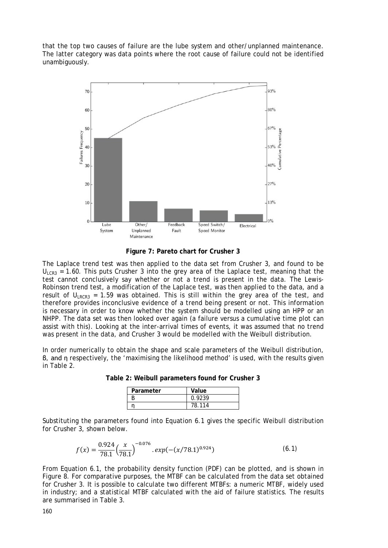that the top two causes of failure are the lube system and other/unplanned maintenance. The latter category was data points where the root cause of failure could not be identified unambiguously.



**Figure 7: Pareto chart for Crusher 3**

<span id="page-10-0"></span>The Laplace trend test was then applied to the data set from Crusher 3, and found to be  $U_{ICR3}$  = 1.60. This puts Crusher 3 into the grey area of the Laplace test, meaning that the test cannot conclusively say whether or not a trend is present in the data. The Lewis-Robinson trend test, a modification of the Laplace test, was then applied to the data, and a result of  $U_{IRCR3}$  = 1.59 was obtained. This is still within the grey area of the test, and therefore provides inconclusive evidence of a trend being present or not. This information is necessary in order to know whether the system should be modelled using an HPP or an NHPP. The data set was then looked over again (a failure versus a cumulative time plot can assist with this). Looking at the inter-arrival times of events, it was assumed that no trend was present in the data, and Crusher 3 would be modelled with the Weibull distribution.

<span id="page-10-1"></span>In order numerically to obtain the shape and scale parameters of the Weibull distribution, β, and η respectively, the 'maximising the likelihood method' is used, with the results given in [Table 2.](#page-10-1)

| Parameter | Value  |
|-----------|--------|
|           | 0.9239 |
|           | 78.114 |

**Table 2: Weibull parameters found for Crusher 3**

Substituting the parameters found into Equation 6.1 gives the specific Weibull distribution for Crusher 3, shown below.

$$
f(x) = \frac{0.924}{78.1} \left(\frac{x}{78.1}\right)^{-0.076} . \exp(-(x/78.1)^{0.924})
$$
 (6.1)

From Equation 6.1, the probability density function (PDF) can be plotted, and is shown in [Figure 8.](#page-11-0) For comparative purposes, the MTBF can be calculated from the data set obtained for Crusher 3. It is possible to calculate two different MTBFs: a numeric MTBF, widely used in industry; and a statistical MTBF calculated with the aid of failure statistics. The results are summarised in [Table 3.](#page-11-1)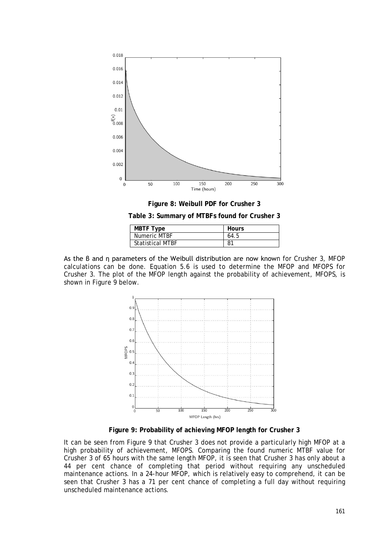



**Table 3: Summary of MTBFs found for Crusher 3**

| <b>MBTF Type</b>        | <b>Hours</b> |
|-------------------------|--------------|
| Numeric MTBF            | 64.5         |
| <b>Statistical MTBF</b> | 81           |

<span id="page-11-1"></span><span id="page-11-0"></span>As the β and η parameters of the Weibull distribution are now known for Crusher 3, MFOP calculations can be done. Equation 5.6 is used to determine the MFOP and MFOPS for Crusher 3. The plot of the MFOP length against the probability of achievement, MFOPS, is shown in Figure 9 below.



**Figure 9: Probability of achieving MFOP length for Crusher 3**

<span id="page-11-2"></span>It can be seen from [Figure 9](#page-11-2) that Crusher 3 does not provide a particularly high MFOP at a high probability of achievement, MFOPS. Comparing the found numeric MTBF value for Crusher 3 of 65 hours with the same length MFOP, it is seen that Crusher 3 has only about a 44 per cent chance of completing that period without requiring any unscheduled maintenance actions. In a 24-hour MFOP, which is relatively easy to comprehend, it can be seen that Crusher 3 has a 71 per cent chance of completing a full day without requiring unscheduled maintenance actions.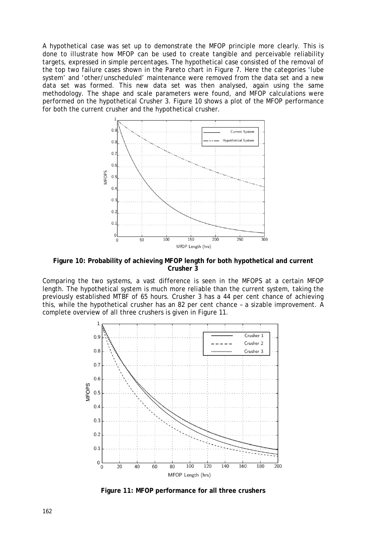A hypothetical case was set up to demonstrate the MFOP principle more clearly. This is done to illustrate how MFOP can be used to create tangible and perceivable reliability targets, expressed in simple percentages. The hypothetical case consisted of the removal of the top two failure cases shown in the Pareto chart in [Figure 7.](#page-10-0) Here the categories 'lube system' and 'other/unscheduled' maintenance were removed from the data set and a new data set was formed. This new data set was then analysed, again using the same methodology. The shape and scale parameters were found, and MFOP calculations were performed on the hypothetical Crusher 3. [Figure 10](#page-12-0) shows a plot of the MFOP performance for both the current crusher and the hypothetical crusher.



<span id="page-12-0"></span>**Figure 10: Probability of achieving MFOP length for both hypothetical and current Crusher 3**

Comparing the two systems, a vast difference is seen in the MFOPS at a certain MFOP length. The hypothetical system is much more reliable than the current system, taking the previously established MTBF of 65 hours. Crusher 3 has a 44 per cent chance of achieving this, while the hypothetical crusher has an 82 per cent chance – a sizable improvement. A complete overview of all three crushers is given in [Figure 11.](#page-12-1)



<span id="page-12-1"></span>**Figure 11: MFOP performance for all three crushers**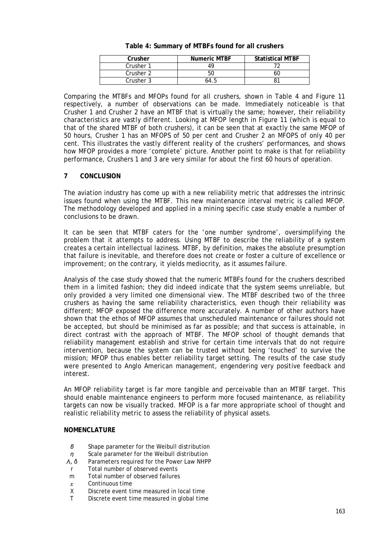<span id="page-13-0"></span>

| Crusher   | <b>Numeric MTBF</b> | <b>Statistical MTBF</b> |
|-----------|---------------------|-------------------------|
| Crusher 1 |                     |                         |
| Crusher 2 | 50                  |                         |
| Crusher 3 | 04.5                |                         |

### **Table 4: Summary of MTBFs found for all crushers**

Comparing the MTBFs and MFOPs found for all crushers, shown in [Table 4](#page-13-0) and [Figure 11](#page-12-1) respectively, a number of observations can be made. Immediately noticeable is that Crusher 1 and Crusher 2 have an MTBF that is virtually the same; however, their reliability characteristics are vastly different. Looking at MFOP length in [Figure 11](#page-12-1) (which is equal to that of the shared MTBF of both crushers), it can be seen that at exactly the same MFOP of 50 hours, Crusher 1 has an MFOPS of 50 per cent and Crusher 2 an MFOPS of only 40 per cent. This illustrates the vastly different reality of the crushers' performances, and shows how MFOP provides a more 'complete' picture. Another point to make is that for reliability performance, Crushers 1 and 3 are very similar for about the first 60 hours of operation.

### **7 CONCLUSION**

The aviation industry has come up with a new reliability metric that addresses the intrinsic issues found when using the MTBF. This new maintenance interval metric is called MFOP. The methodology developed and applied in a mining specific case study enable a number of conclusions to be drawn.

It can be seen that MTBF caters for the 'one number syndrome', oversimplifying the problem that it attempts to address. Using MTBF to describe the reliability of a system creates a certain intellectual laziness. MTBF, by definition, makes the absolute presumption that failure is inevitable, and therefore does not create or foster a culture of excellence or improvement; on the contrary, it yields mediocrity, as it assumes failure.

Analysis of the case study showed that the numeric MTBFs found for the crushers described them in a limited fashion; they did indeed indicate that the system seems unreliable, but only provided a very limited one dimensional view. The MTBF described two of the three crushers as having the same reliability characteristics, even though their reliability was different; MFOP exposed the difference more accurately. A number of other authors have shown that the ethos of MFOP assumes that unscheduled maintenance or failures should not be accepted, but should be minimised as far as possible; and that success is attainable, in direct contrast with the approach of MTBF. The MFOP school of thought demands that reliability management establish and strive for certain time intervals that do not require intervention, because the system can be trusted without being 'touched' to survive the mission; MFOP thus enables better reliability target setting. The results of the case study were presented to Anglo American management, engendering very positive feedback and interest.

An MFOP reliability target is far more tangible and perceivable than an MTBF target. This should enable maintenance engineers to perform more focused maintenance, as reliability targets can now be visually tracked. MFOP is a far more appropriate school of thought and realistic reliability metric to assess the reliability of physical assets.

### **NOMENCLATURE**

- *β* Shape parameter for the Weibull distribution
- *η* Scale parameter for the Weibull distribution *Λ*, δ Parameters required for the Power Law NHPP
- *Parameters required for the Power Law NHPP*
- *r* Total number of observed events
- *m* Total number of observed failures
- $x$  Continuous time<br> $X$  Discrete event ti
- *X* Discrete event time measured in local time <br>*T* Discrete event time measured in global time
- Discrete event time measured in global time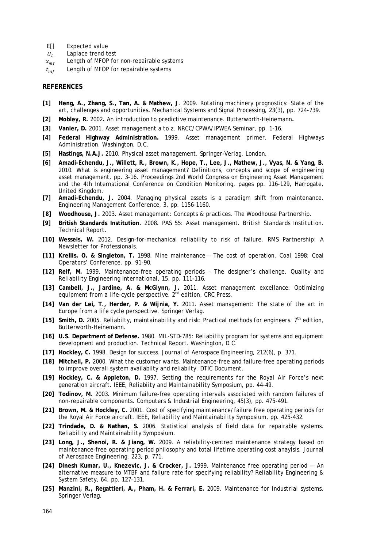- *E[]* Expected value
- $U_L$  Laplace trend test<br>  $x_{mf}$  Length of MFOP for
- $x_{mf}$  Length of MFOP for non-repairable systems<br>  $t_{mf}$  Length of MFOP for repairable systems
- Length of MFOP for repairable systems

#### **REFERENCES**

- **[1] Heng, A., Zhang, S., Tan, A. & Mathew, J***.* 2009. Rotating machinery prognostics: State of the art, challenges and opportunities**.** *Mechanical Systems and Signal Processing,* 23(3), pp. 724-739.
- **[2] Mobley, R.** 2002**.** *An introduction to predictive maintenance.* Butterworth-Heinemann**.**
- **[3] Vanier, D.** 2001. *Asset management a to z.* NRCC/CPWA/IPWEA Seminar, pp. 1-16.
- **[4] Federal Highway Administration.** 1999. *Asset management primer.* Federal Highways Administration. Washington, D.C.
- **[5] Hastings, N.A.J.** 2010. *Physical asset management.* Springer-Verlag, London.
- **[6] Amadi-Echendu, J., Willett, R., Brown, K., Hope, T., Lee, J., Mathew, J., Vyas, N. & Yang, B.**  2010. What is engineering asset management? *Definitions, concepts and scope of engineering asset management,* pp. 3-16. Proceedings 2nd World Congress on Engineering Asset Management and the 4th International Conference on Condition Monitoring, pages pp. 116-129, Harrogate, United Kingdom.
- **[7] Amadi-Echendu, J.** 2004. Managing physical assets is a paradigm shift from maintenance. *Engineering Management Conference,* 3, pp. 1156-1160.
- *[8]* **Woodhouse, J.** 2003. *Asset management: Concepts & practices*. The Woodhouse Partnership.
- **[9] British Standards Institution.** 2008. PAS 55: Asset management. *British Standards Institution. Technical Report.*
- **[10] Wessels, W.** 2012. Design-for-mechanical reliability to risk of failure. *RMS Partnership: A Newsletter for Professionals.*
- **[11] Krellis, O. & Singleton, T.** 1998. Mine maintenance The cost of operation. *Coal 1998: Coal Operators' Conference,* pp. 91-90.
- **[12] Relf, M.** 1999. Maintenance-free operating periods The designer's challenge. *Quality and Reliability Engineering International,* 15, pp. 111-116.
- **[13] Cambell, J., Jardine, A. & McGlynn, J.** 2011. *Asset management excellance: Optimizing*  equipment from a life-cycle perspective. 2<sup>nd</sup> edition, CRC Press.
- **[14] Van der Lei, T., Herder, P. & Wijnia, Y.** 2011. *Asset management: The state of the art in Europe from a life cycle perspective.* Springer Verlag.
- **[15] Smith, D.** 2005. *Reliabilty, maintainability and risk: Practical methods for engineers.* 7th edition, Butterworth-Heinemann.
- **[16] U.S. Department of Defense.** 1980. *MIL-STD-785: Reliability program for systems and equipment development and production.* Technical Report. Washington, D.C.
- **[17] Hockley, C.** 1998. Design for success. *Journal of Aerospace Engineering,* 212(6), p. 371.
- **[18] Mitchell, P.** 2000. What the customer wants. Maintenance-free and failure-free operating periods to improve overall system availabilty and reliabilty. *DTIC Document.*
- **[19] Hockley, C. & Appleton, D.** 1997. Setting the requirements for the Royal Air Force's next generation aircraft. IEEE, *Reliabiity and Maintainability Symposium,* pp. 44-49.
- **[20] Todinov, M.** 2003. Minimum failure-free operating intervals associated with random failures of non-repairable components. *Computers & Industrial Engineering,* 45(3), pp. 475-491.
- **[21] Brown, M. & Hockley, C.** 2001. Cost of specifying maintenance/failure free operating periods for the Royal Air Force aircraft. IEEE, *Reliability and Maintainability Symposium,* pp. 425-432.
- **[22] Trindade, D. & Nathan, S.** 2006. Statistical analysis of field data for repairable systems. *Reliability and Maintainability Symposium.*
- **[23] Long, J., Shenoi, R. & Jiang, W.** 2009. A reliability-centred maintenance strategy based on maintenance-free operating period philosophy and total lifetime operating cost anaylsis. *Journal of Aerospace Engineering,* 223, p. 771.
- **[24] Dinesh Kumar, U., Knezevic, J. & Crocker, J.** 1999. Maintenance free operating period An alternative measure to MTBF and failure rate for specifying reliability? *Reliability Engineering & System Safety,* 64, pp. 127-131.
- **[25] Manzini, R., Regattieri, A., Pham, H. & Ferrari, E.** 2009. *Maintenance for industrial systems.*  Springer Verlag.